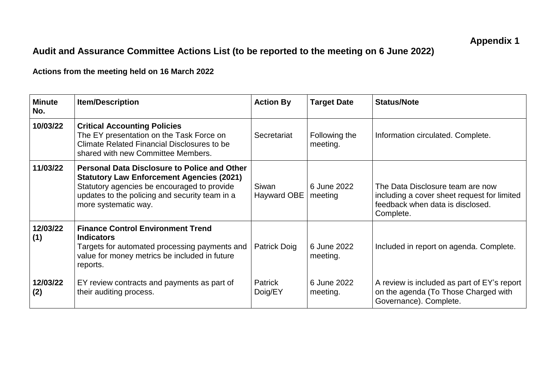## **Audit and Assurance Committee Actions List (to be reported to the meeting on 6 June 2022)**

**Actions from the meeting held on 16 March 2022**

| <b>Minute</b><br>No. | <b>Item/Description</b>                                                                                                                                                                                                          | <b>Action By</b>          | <b>Target Date</b>        | <b>Status/Note</b>                                                                                                               |
|----------------------|----------------------------------------------------------------------------------------------------------------------------------------------------------------------------------------------------------------------------------|---------------------------|---------------------------|----------------------------------------------------------------------------------------------------------------------------------|
| 10/03/22             | <b>Critical Accounting Policies</b><br>The EY presentation on the Task Force on<br>Climate Related Financial Disclosures to be<br>shared with new Committee Members.                                                             | Secretariat               | Following the<br>meeting. | Information circulated. Complete.                                                                                                |
| 11/03/22             | <b>Personal Data Disclosure to Police and Other</b><br><b>Statutory Law Enforcement Agencies (2021)</b><br>Statutory agencies be encouraged to provide<br>updates to the policing and security team in a<br>more systematic way. | Siwan<br>Hayward OBE      | 6 June 2022<br>meeting    | The Data Disclosure team are now<br>including a cover sheet request for limited<br>feedback when data is disclosed.<br>Complete. |
| 12/03/22<br>(1)      | <b>Finance Control Environment Trend</b><br><b>Indicators</b><br>Targets for automated processing payments and<br>value for money metrics be included in future<br>reports.                                                      | Patrick Doig              | 6 June 2022<br>meeting.   | Included in report on agenda. Complete.                                                                                          |
| 12/03/22<br>(2)      | EY review contracts and payments as part of<br>their auditing process.                                                                                                                                                           | <b>Patrick</b><br>Doig/EY | 6 June 2022<br>meeting.   | A review is included as part of EY's report<br>on the agenda (To Those Charged with<br>Governance). Complete.                    |